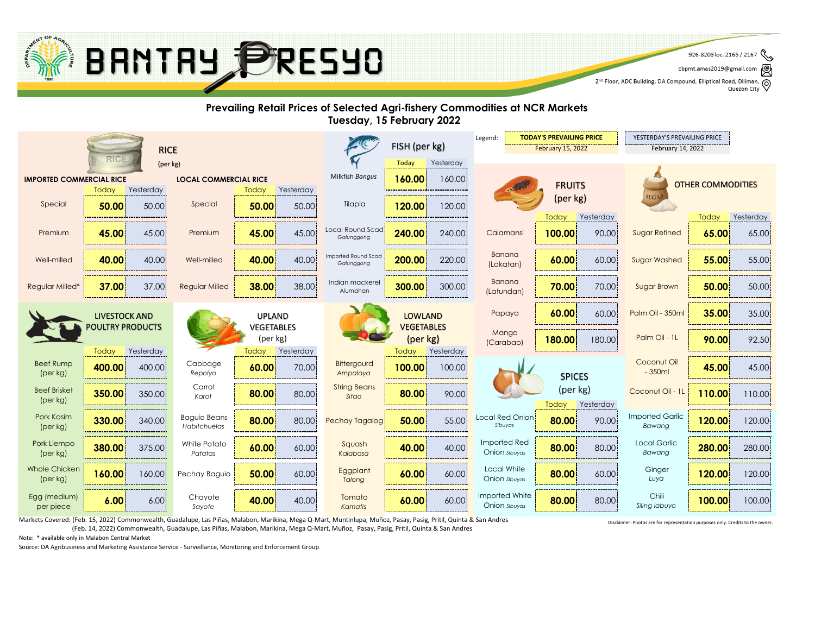Markets Covered: (Feb. 15, 2022) Commonwealth, Guadalupe, Las Piñas, Malabon, Marikina, Mega Q-Mart, Muntinlupa, Muñoz, Pasay, Pasig, Pritil, Quinta & San Andres (Feb. 14, 2022) Commonwealth, Guadalupe, Las Piñas, Malabon, Marikina, Mega Q-Mart, Muñoz, Pasay, Pasig, Pritil, Quinta & San Andres

Source: DA Agribusiness and Marketing Assistance Service - Surveillance, Monitoring and Enforcement Group

926-8203 loc. 2165 / 2167 cbpmt.amas2019@gmail.com 2<sup>nd</sup> Floor, ADC Building, DA Compound, Elliptical Road, Diliman, Quezon City Quezon City

Note: \* available only in Malabon Central Market

|                                                                 |                      |           |                                     |                          | FISH (per kg)      |                                   | <b>TODAY'S PREVAILING PRICE</b><br>Legend: |                    | YESTERDAY'S PREVAILING PRICE    |                           |               |                           |        |           |
|-----------------------------------------------------------------|----------------------|-----------|-------------------------------------|--------------------------|--------------------|-----------------------------------|--------------------------------------------|--------------------|---------------------------------|---------------------------|---------------|---------------------------|--------|-----------|
| <b>RICE</b>                                                     |                      |           |                                     | <b>February 15, 2022</b> |                    |                                   | February 14, 2022                          |                    |                                 |                           |               |                           |        |           |
| RICE<br>(per kg)                                                |                      |           |                                     |                          | Today<br>Yesterday |                                   |                                            |                    |                                 |                           |               |                           |        |           |
| <b>IMPORTED COMMERCIAL RICE</b><br><b>LOCAL COMMERCIAL RICE</b> |                      |           |                                     | Milkfish Bangus          | 160.00<br>160.00   |                                   |                                            |                    | <b>OTHER COMMODITIES</b>        |                           |               |                           |        |           |
|                                                                 | Today                | Yesterday |                                     | Today                    | Yesterday          |                                   |                                            |                    | <b>FRUITS</b>                   |                           |               |                           |        |           |
| Special                                                         | 50.00                | 50.00     | Special                             | 50.00                    | 50.00              | Tilapia                           | 120.00                                     | 120.00             |                                 | (per kg)                  |               | SUGAR                     |        |           |
|                                                                 |                      |           |                                     |                          |                    |                                   |                                            |                    |                                 | Today                     | Yesterday     |                           | Today  | Yesterday |
| Premium                                                         | 45.00                | 45.00     | Premium                             | 45.00                    | 45.00              | Local Round Scad!<br>Galunggong   | 240.00                                     | 240.00             | Calamansi                       | 100.00                    | 90.00         | <b>Sugar Refined</b>      | 65.00  | 65.00     |
| Well-milled                                                     | 40.00                | 40.00     | Well-milled                         | 40.00                    | 40.00              | Imported Round Scad<br>Galunggong | 200.00                                     | 220.00             | <b>Banana</b><br>(Lakatan)      | 60.00                     | 60.00         | <b>Sugar Washed</b>       | 55.00  | 55.00     |
| <b>Regular Milled*</b>                                          | 37.00                | 37.00     | <b>Regular Milled</b>               | 38.00                    | 38.00              | Indian mackerel<br>Alumahan       | 300.00                                     | 300.00             | Banana<br>(Latundan)            | 70.00                     | 70.00         | <b>Sugar Brown</b>        | 50.00  | 50.00     |
|                                                                 | <b>LIVESTOCK AND</b> |           |                                     | <b>UPLAND</b>            |                    |                                   | <b>LOWLAND</b>                             |                    | Papaya                          | 60.00                     | 60.00         | Palm Oil - 350ml          | 35.00  | 35.00     |
| <b>POULTRY PRODUCTS</b>                                         |                      |           | VEGETABLES<br>(per kg)              |                          |                    | <b>VEGETABLES</b><br>(per kg)     |                                            | Mango<br>(Carabao) | 180.00                          | 180.00                    | Palm Oil - 1L | 90.00                     | 92.50  |           |
|                                                                 | Today                | Yesterday |                                     | Today                    | Yesterday          |                                   | Today                                      | Yesterday          |                                 |                           |               |                           |        |           |
| <b>Beef Rump</b><br>(per kg)                                    | 400.00               | 400.00    | Cabbage<br>Repolyo                  | 60.00                    | 70.00              | Bittergourd<br>Ampalaya           | 100.00                                     | 100.00             |                                 | <b>SPICES</b><br>(per kg) |               | Coconut Oil<br>$-350ml$   | 45.00  | 45.00     |
| <b>Beef Brisket</b>                                             | 350.00               | 350.00    | Carrot<br>Karot                     | 80.00                    | 80.00              | <b>String Beans</b><br>Sitao      | 80.00                                      | 90.00              |                                 |                           |               | Coconut Oil - 1L          | 110.00 | 110.00    |
| (per kg)                                                        |                      |           |                                     |                          |                    |                                   |                                            |                    |                                 | Today                     | Yesterday     |                           |        |           |
| Pork Kasim<br>(per kg)                                          | 330.00               | 340.00    | <b>Baguio Beans</b><br>Habitchuelas | 80.00                    | 80.00              | Pechay Tagalog                    | 50.00                                      | 55.00              | Local Red Onion<br>Sibuyas      | 80.00                     | 90.00         | Imported Garlic<br>Bawang | 120.00 | 120.00    |
| Pork Liempo<br>(per kg)                                         | 380.00               | 375.00    | White Potato<br>Patatas             | 60.00                    | 60.00              | Squash<br>Kalabasa                | 40.00                                      | 40.00              | Imported Red<br>Onion sibuyas   | 80.00                     | 80.00         | Local Garlic<br>Bawang    | 280.00 | 280.00    |
| <b>Whole Chicken</b><br>(per kg)                                | 160.00               | 160.00    | Pechay Baguio                       | 50.00                    | 60.00              | Eggplant<br>Talong                | 60.00                                      | 60.00              | Local White<br>Onion sibuyas    | 80.00                     | 60.00         | Ginger<br>Luya            | 120.00 | 120.00    |
| Egg (medium)<br>per piece                                       | 6.00                 | 6.00      | Chayote<br>Sayote                   | 40.00                    | 40.00              | Tomato<br>Kamatis                 | 60.00                                      | 60.00              | Imported White<br>Onion sibuyas | 80.00                     | 80.00         | Chili<br>Siling labuyo    | 100.00 | 100.00    |





### **Prevailing Retail Prices of Selected Agri-fishery Commodities at NCR Markets Tuesday, 15 February 2022**

Disclaimer: Photos are for representation purposes only. Credits to the owner.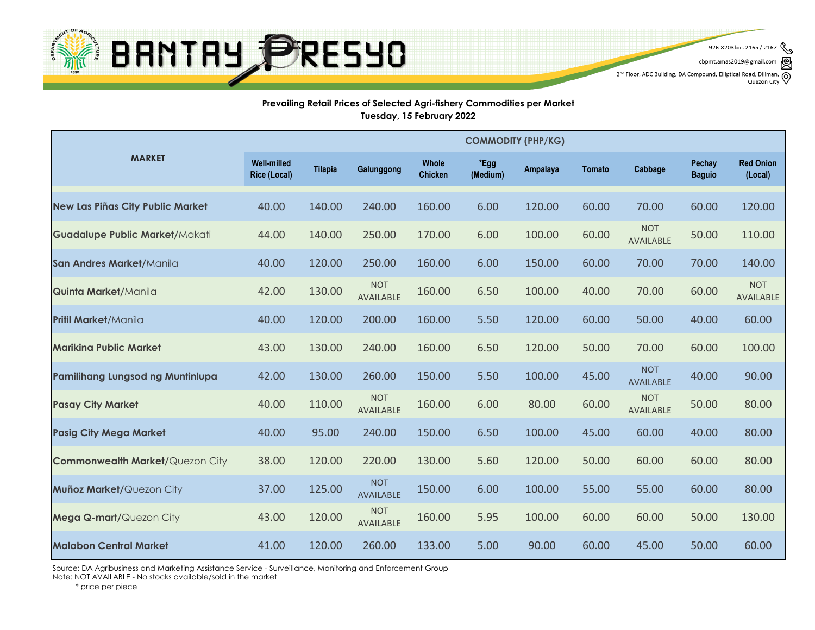

926-8203 loc. 2165 / 2167

cbpmt.amas2019@gmail.con 2<sup>nd</sup> Floor, ADC Building, DA Compound, Elliptical Road, Diliman,

 $\circledcirc$ Quezon City

#### **Prevailing Retail Prices of Selected Agri-fishery Commodities per Market Tuesday, 15 February 2022**

|                                         | <b>COMMODITY (PHP/KG)</b>                 |                |                                |                                |                  |                 |               |                                |                                |                                |
|-----------------------------------------|-------------------------------------------|----------------|--------------------------------|--------------------------------|------------------|-----------------|---------------|--------------------------------|--------------------------------|--------------------------------|
| <b>MARKET</b>                           | <b>Well-milled</b><br><b>Rice (Local)</b> | <b>Tilapia</b> | Galunggong                     | <b>Whole</b><br><b>Chicken</b> | *Egg<br>(Medium) | <b>Ampalaya</b> | <b>Tomato</b> | Cabbage                        | <b>Pechay</b><br><b>Baguio</b> | <b>Red Onion</b><br>(Local)    |
| New Las Piñas City Public Market        | 40.00                                     | 140.00         | 240.00                         | 160.00                         | 6.00             | 120.00          | 60.00         | 70.00                          | 60.00                          | 120.00                         |
| <b>Guadalupe Public Market/Makati</b>   | 44.00                                     | 140.00         | 250.00                         | 170.00                         | 6.00             | 100.00          | 60.00         | <b>NOT</b><br><b>AVAILABLE</b> | 50.00                          | 110.00                         |
| San Andres Market/Manila                | 40.00                                     | 120.00         | 250.00                         | 160.00                         | 6.00             | 150.00          | 60.00         | 70.00                          | 70.00                          | 140.00                         |
| <b>Quinta Market/Manila</b>             | 42.00                                     | 130.00         | <b>NOT</b><br><b>AVAILABLE</b> | 160.00                         | 6.50             | 100.00          | 40.00         | 70.00                          | 60.00                          | <b>NOT</b><br><b>AVAILABLE</b> |
| <b>Pritil Market/Manila</b>             | 40.00                                     | 120.00         | 200.00                         | 160.00                         | 5.50             | 120.00          | 60.00         | 50.00                          | 40.00                          | 60.00                          |
| <b>Marikina Public Market</b>           | 43.00                                     | 130.00         | 240.00                         | 160.00                         | 6.50             | 120.00          | 50.00         | 70.00                          | 60.00                          | 100.00                         |
| <b>Pamilihang Lungsod ng Muntinlupa</b> | 42.00                                     | 130.00         | 260.00                         | 150.00                         | 5.50             | 100.00          | 45.00         | <b>NOT</b><br><b>AVAILABLE</b> | 40.00                          | 90.00                          |
| <b>Pasay City Market</b>                | 40.00                                     | 110.00         | <b>NOT</b><br><b>AVAILABLE</b> | 160.00                         | 6.00             | 80.00           | 60.00         | <b>NOT</b><br><b>AVAILABLE</b> | 50.00                          | 80.00                          |
| <b>Pasig City Mega Market</b>           | 40.00                                     | 95.00          | 240.00                         | 150.00                         | 6.50             | 100.00          | 45.00         | 60.00                          | 40.00                          | 80.00                          |
| <b>Commonwealth Market/Quezon City</b>  | 38.00                                     | 120.00         | 220.00                         | 130.00                         | 5.60             | 120.00          | 50.00         | 60.00                          | 60.00                          | 80.00                          |
| <b>Muñoz Market/Quezon City</b>         | 37.00                                     | 125.00         | <b>NOT</b><br><b>AVAILABLE</b> | 150.00                         | 6.00             | 100.00          | 55.00         | 55.00                          | 60.00                          | 80.00                          |
| <b>Mega Q-mart/Quezon City</b>          | 43.00                                     | 120.00         | <b>NOT</b><br><b>AVAILABLE</b> | 160.00                         | 5.95             | 100.00          | 60.00         | 60.00                          | 50.00                          | 130.00                         |
| <b>Malabon Central Market</b>           | 41.00                                     | 120.00         | 260.00                         | 133.00                         | 5.00             | 90.00           | 60.00         | 45.00                          | 50.00                          | 60.00                          |

Source: DA Agribusiness and Marketing Assistance Service - Surveillance, Monitoring and Enforcement Group Note: NOT AVAILABLE - No stocks available/sold in the market

\* price per piece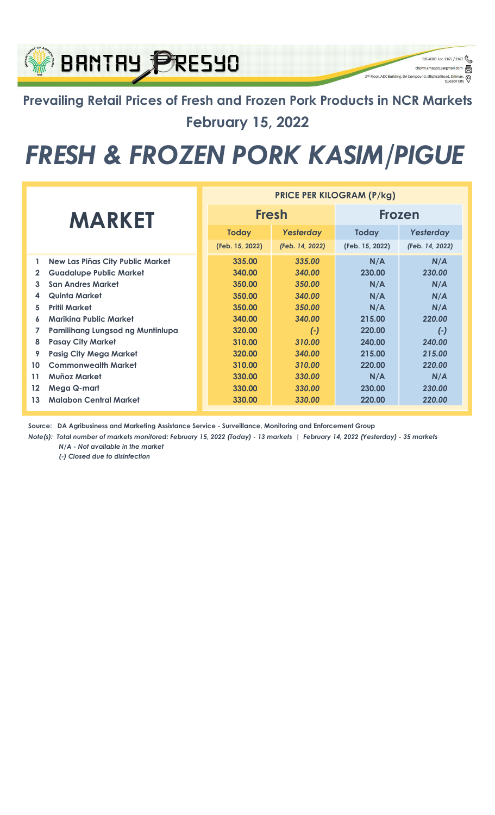### Prevailing Retail Prices of Fresh and Frozen Pork Products in NCR Markets February 15, 2022

926-8203 loc. 2165 / 2167

q

⊚

cbpmt.amas2019@gn

2<sup>nd</sup> Floor, ADC Building, DA Compound, Elliptical Re

**BRNTRY PRESYO** 

## FRESH & FROZEN PORK KASIM/PIGUE

|              |                                  | <b>PRICE PER KILOGRAM (P/kg)</b> |                 |                 |                 |  |  |  |
|--------------|----------------------------------|----------------------------------|-----------------|-----------------|-----------------|--|--|--|
|              | <b>MARKET</b>                    |                                  | <b>Fresh</b>    | <b>Frozen</b>   |                 |  |  |  |
|              |                                  | <b>Today</b>                     | Yesterday       | <b>Today</b>    | Yesterday       |  |  |  |
|              |                                  | (Feb. 15, 2022)                  | (Feb. 14, 2022) | (Feb. 15, 2022) | (Feb. 14, 2022) |  |  |  |
| 1            | New Las Piñas City Public Market | 335.00                           | 335.00          | N/A             | N/A             |  |  |  |
| $\mathbf{2}$ | <b>Guadalupe Public Market</b>   | 340.00                           | 340.00          | 230.00          | 230.00          |  |  |  |
| 3            | <b>San Andres Market</b>         | 350.00                           | 350.00          | N/A             | N/A             |  |  |  |
| 4            | Quinta Market                    | 350.00                           | 340.00          | N/A             | N/A             |  |  |  |
| 5            | <b>Pritil Market</b>             | 350.00                           | 350.00          | N/A             | N/A             |  |  |  |
| 6            | Mariking Public Market           | 340.00                           | 340.00          | 215.00          | 220.00          |  |  |  |
| 7            | Pamilihang Lungsod ng Muntinlupa | 320.00                           | $(-)$           | 220.00          | $(-)$           |  |  |  |
| 8            | <b>Pasay City Market</b>         | 310.00                           | 310.00          | 240.00          | 240.00          |  |  |  |
| 9            | <b>Pasig City Mega Market</b>    | 320.00                           | 340.00          | 215.00          | 215.00          |  |  |  |
| 10           | <b>Commonwealth Market</b>       | 310.00                           | 310.00          | 220.00          | 220.00          |  |  |  |
| 11           | <b>Muñoz Market</b>              | 330.00                           | 330.00          | N/A             | N/A             |  |  |  |
| 12           | Mega Q-mart                      | 330.00                           | 330.00          | 230.00          | 230.00          |  |  |  |
| 13           | <b>Malabon Central Market</b>    | 330.00                           | 330.00          | 220.00          | 220.00          |  |  |  |

Source: DA Agribusiness and Marketing Assistance Service - Surveillance, Monitoring and Enforcement Group

N/A - Not available in the market Note(s): Total number of markets monitored: February 15, 2022 (Today) - 13 markets | February 14, 2022 (Yesterday) - 35 markets

(-) Closed due to disinfection